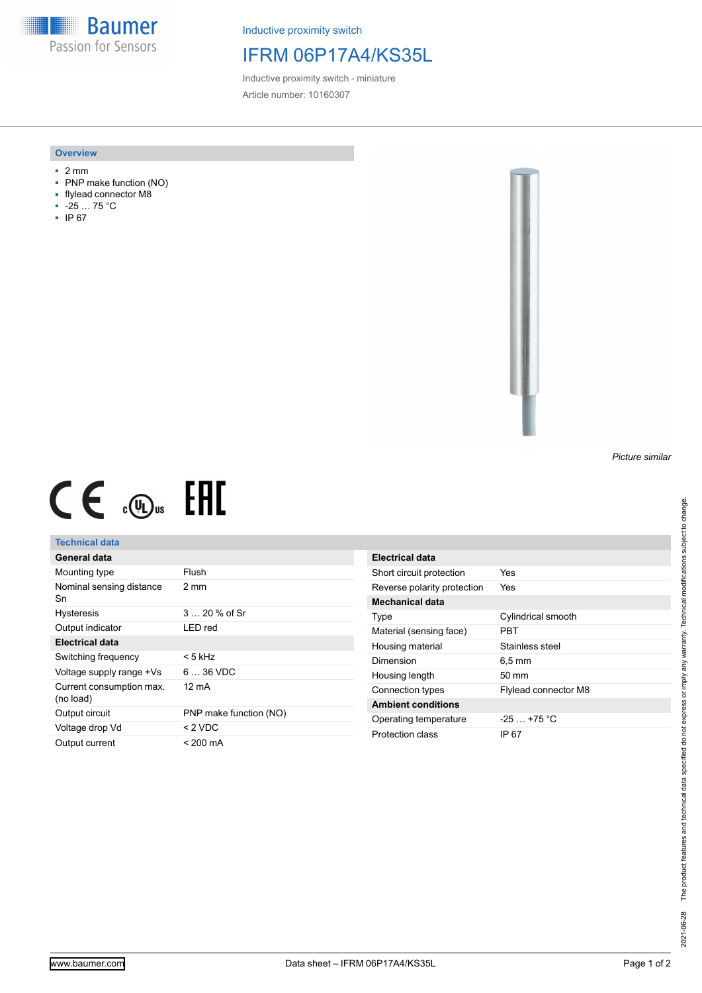**Baumer** Passion for Sensors

Inductive proximity switch

## IFRM 06P17A4/KS35L

Inductive proximity switch - miniature Article number: 10160307

#### **Overview**

- 2 mm
- PNP make function (NO)
- flylead connector M8
- -25 … 75 °C
- IP 67



# $CE \oplus E$

### **Technical data**

| General data                          |                        |
|---------------------------------------|------------------------|
| Mounting type                         | Flush                  |
| Nominal sensing distance<br>Sn        | $2 \text{ mm}$         |
| <b>Hysteresis</b>                     | $320%$ of Sr           |
| Output indicator                      | LED red                |
| Electrical data                       |                        |
| Switching frequency                   | < 5 kHz                |
| Voltage supply range +Vs              | 6  36 VDC              |
| Current consumption max.<br>(no load) | 12 mA                  |
| Output circuit                        | PNP make function (NO) |
| Voltage drop Vd                       | $<$ 2 VDC              |
| Output current                        | $< 200 \text{ mA}$     |

| Electrical data             |                             |
|-----------------------------|-----------------------------|
| Short circuit protection    | Yes                         |
| Reverse polarity protection | Yes                         |
| Mechanical data             |                             |
| Type                        | Cylindrical smooth          |
| Material (sensing face)     | PRT                         |
| Housing material            | Stainless steel             |
| Dimension                   | $6.5 \,\mathrm{mm}$         |
| Housing length              | $50 \text{ mm}$             |
| Connection types            | <b>Flylead connector M8</b> |
| <b>Ambient conditions</b>   |                             |
| Operating temperature       | $-25$ $+75$ °C              |
| Protection class            | IP 67                       |